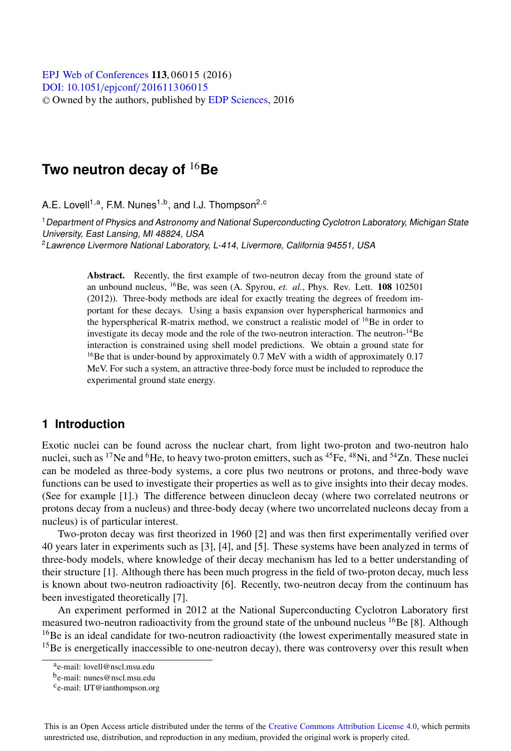[DOI: 10.1051](http://dx.doi.org/10.1051/epjconf/201611306015)/epjconf/201611306015 © Owned by the authors, published by [EDP Sciences,](http://www.edpsciences.org) 2016 **EPJ** Web of [Conferences](http://www.epj-conferences.org) **113**, 06015 (2016)

# **Two neutron decay of** <sup>16</sup>**Be**

A.E. Lovell<sup>1,a</sup>, F.M. Nunes<sup>1,b</sup>, and I.J. Thompson<sup>2,c</sup>

<sup>1</sup> Department of Physics and Astronomy and National Superconducting Cyclotron Laboratory, Michigan State University, East Lansing, MI 48824, USA

<sup>2</sup>Lawrence Livermore National Laboratory, L-414, Livermore, California 94551, USA

Abstract. Recently, the first example of two-neutron decay from the ground state of an unbound nucleus, 16Be, was seen (A. Spyrou, *et. al.*, Phys. Rev. Lett. 108 <sup>102501</sup> (2012)). Three-body methods are ideal for exactly treating the degrees of freedom important for these decays. Using a basis expansion over hyperspherical harmonics and the hyperspherical R-matrix method, we construct a realistic model of <sup>16</sup>Be in order to investigate its decay mode and the role of the two-neutron interaction. The neutron-14Be interaction is constrained using shell model predictions. We obtain a ground state for  $16$ Be that is under-bound by approximately 0.7 MeV with a width of approximately 0.17 MeV. For such a system, an attractive three-body force must be included to reproduce the experimental ground state energy.

#### **1 Introduction**

Exotic nuclei can be found across the nuclear chart, from light two-proton and two-neutron halo nuclei, such as <sup>17</sup>Ne and <sup>6</sup>He, to heavy two-proton emitters, such as <sup>45</sup>Fe, <sup>48</sup>Ni, and <sup>54</sup>Zn. These nuclei can be modeled as three-body systems, a core plus two neutrons or protons, and three-body wave functions can be used to investigate their properties as well as to give insights into their decay modes. (See for example [1].) The difference between dinucleon decay (where two correlated neutrons or protons decay from a nucleus) and three-body decay (where two uncorrelated nucleons decay from a nucleus) is of particular interest.

Two-proton decay was first theorized in 1960 [2] and was then first experimentally verified over 40 years later in experiments such as [3], [4], and [5]. These systems have been analyzed in terms of three-body models, where knowledge of their decay mechanism has led to a better understanding of their structure [1]. Although there has been much progress in the field of two-proton decay, much less is known about two-neutron radioactivity [6]. Recently, two-neutron decay from the continuum has been investigated theoretically [7].

An experiment performed in 2012 at the National Superconducting Cyclotron Laboratory first measured two-neutron radioactivity from the ground state of the unbound nucleus  $^{16}$ Be [8]. Although  $16$ Be is an ideal candidate for two-neutron radioactivity (the lowest experimentally measured state in  $<sup>15</sup>$ Be is energetically inaccessible to one-neutron decay), there was controversy over this result when</sup>

This is an Open Access article distributed under the terms of the Creative Commons Attribution License 4.0, which permits unrestricted use, distribution, and reproduction in any medium, provided the original work is properly cited.

ae-mail: lovell@nscl.msu.edu

be-mail: nunes@nscl.msu.edu

ce-mail: IJT@ianthompson.org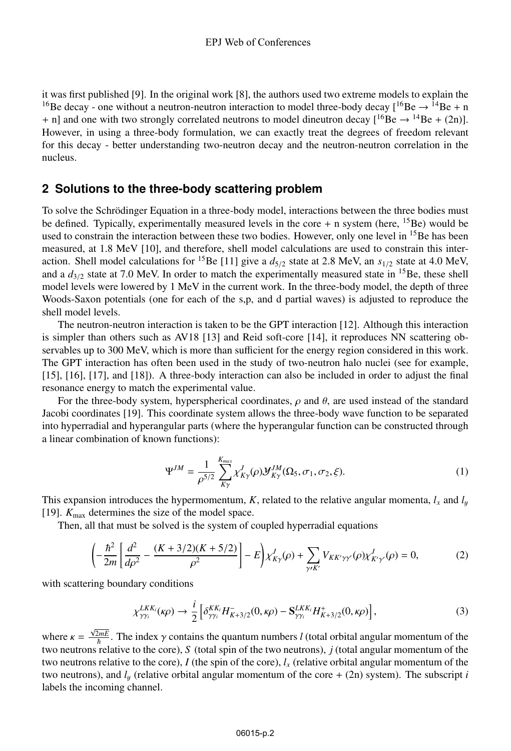it was first published [9]. In the original work [8], the authors used two extreme models to explain the <sup>16</sup>Be decay - one without a neutron-neutron interaction to model three-body decay  $[{}^{16}Be \rightarrow {}^{14}Be + n$ + n] and one with two strongly correlated neutrons to model dineutron decay  $[{}^{16}Be \rightarrow {}^{14}Be + (2n)]$ . However, in using a three-body formulation, we can exactly treat the degrees of freedom relevant for this decay - better understanding two-neutron decay and the neutron-neutron correlation in the nucleus.

### **2 Solutions to the three-body scattering problem**

To solve the Schrödinger Equation in a three-body model, interactions between the three bodies must be defined. Typically, experimentally measured levels in the core  $+$  n system (here, <sup>15</sup>Be) would be used to constrain the interaction between these two bodies. However, only one level in  $^{15}$ Be has been measured, at 1.8 MeV [10], and therefore, shell model calculations are used to constrain this interaction. Shell model calculations for <sup>15</sup>Be [11] give a  $d_{5/2}$  state at 2.8 MeV, an  $s_{1/2}$  state at 4.0 MeV, and a  $d_{3/2}$  state at 7.0 MeV. In order to match the experimentally measured state in <sup>15</sup>Be, these shell model levels were lowered by 1 MeV in the current work. In the three-body model, the depth of three Woods-Saxon potentials (one for each of the s,p, and d partial waves) is adjusted to reproduce the shell model levels.

The neutron-neutron interaction is taken to be the GPT interaction [12]. Although this interaction is simpler than others such as AV18 [13] and Reid soft-core [14], it reproduces NN scattering observables up to 300 MeV, which is more than sufficient for the energy region considered in this work. The GPT interaction has often been used in the study of two-neutron halo nuclei (see for example, [15], [16], [17], and [18]). A three-body interaction can also be included in order to adjust the final resonance energy to match the experimental value.

For the three-body system, hyperspherical coordinates,  $\rho$  and  $\theta$ , are used instead of the standard Jacobi coordinates [19]. This coordinate system allows the three-body wave function to be separated into hyperradial and hyperangular parts (where the hyperangular function can be constructed through a linear combination of known functions):

$$
\Psi^{JM} = \frac{1}{\rho^{5/2}} \sum_{K\gamma}^{K_{max}} \chi^J_{K\gamma}(\rho) \mathcal{Y}^{JM}_{K\gamma}(\Omega_5, \sigma_1, \sigma_2, \xi).
$$
 (1)

This expansion introduces the hypermomentum, *K*, related to the relative angular momenta,  $l_x$  and  $l_y$ [19].  $K_{\text{max}}$  determines the size of the model space.

Then, all that must be solved is the system of coupled hyperradial equations

$$
\left(-\frac{\hbar^2}{2m}\left[\frac{d^2}{d\rho^2} - \frac{(K+3/2)(K+5/2)}{\rho^2}\right] - E\right) \chi^J_{K\gamma}(\rho) + \sum_{\gamma \kappa'} V_{KK'\gamma\gamma'}(\rho) \chi^J_{K'\gamma'}(\rho) = 0, \tag{2}
$$

with scattering boundary conditions

$$
\chi_{\gamma\gamma_i}^{LKK_i}(\kappa\rho) \to \frac{i}{2} \left[ \delta_{\gamma\gamma_i}^{KK_i} H_{K+3/2}^-(0,\kappa\rho) - \mathbf{S}_{\gamma\gamma_i}^{LKK_i} H_{K+3/2}^+(0,\kappa\rho) \right],\tag{3}
$$

where  $\kappa = \frac{\sqrt{2mE}}{\hbar}$ . The index  $\gamma$  contains the quantum numbers *l* (total orbital angular momentum of the two neutrons relative to the core), *S* (total spin of the two neutrons), *j* (total angular momentum of the two neutrons relative to the core),  $I$  (the spin of the core),  $I_x$  (relative orbital angular momentum of the two neutrons), and  $l_y$  (relative orbital angular momentum of the core  $+$  (2n) system). The subscript *i* labels the incoming channel.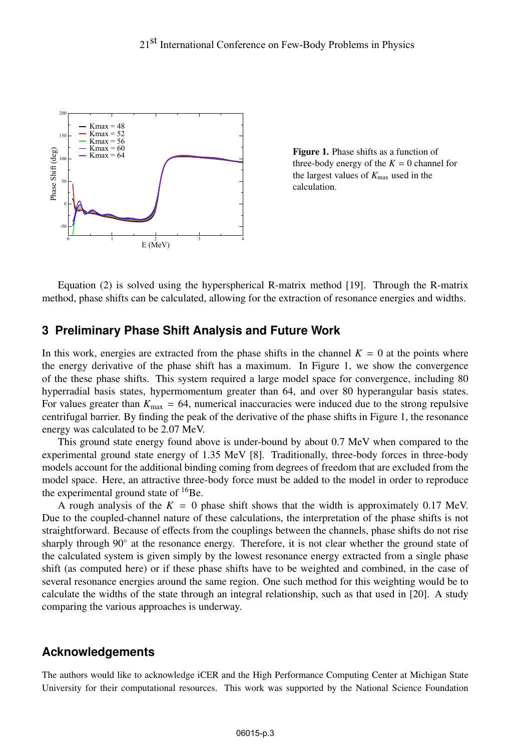

Figure 1. Phase shifts as a function of three-body energy of the  $K = 0$  channel for the largest values of  $K_{\text{max}}$  used in the calculation.

Equation (2) is solved using the hyperspherical R-matrix method [19]. Through the R-matrix method, phase shifts can be calculated, allowing for the extraction of resonance energies and widths.

#### **3 Preliminary Phase Shift Analysis and Future Work**

In this work, energies are extracted from the phase shifts in the channel  $K = 0$  at the points where the energy derivative of the phase shift has a maximum. In Figure 1, we show the convergence of the these phase shifts. This system required a large model space for convergence, including 80 hyperradial basis states, hypermomentum greater than 64, and over 80 hyperangular basis states. For values greater than  $K_{\text{max}} = 64$ , numerical inaccuracies were induced due to the strong repulsive centrifugal barrier. By finding the peak of the derivative of the phase shifts in Figure 1, the resonance energy was calculated to be 2.07 MeV.

This ground state energy found above is under-bound by about 0.7 MeV when compared to the experimental ground state energy of 1.35 MeV [8]. Traditionally, three-body forces in three-body models account for the additional binding coming from degrees of freedom that are excluded from the model space. Here, an attractive three-body force must be added to the model in order to reproduce the experimental ground state of  $^{16}$ Be.

A rough analysis of the  $K = 0$  phase shift shows that the width is approximately 0.17 MeV. Due to the coupled-channel nature of these calculations, the interpretation of the phase shifts is not straightforward. Because of effects from the couplings between the channels, phase shifts do not rise sharply through 90◦ at the resonance energy. Therefore, it is not clear whether the ground state of the calculated system is given simply by the lowest resonance energy extracted from a single phase shift (as computed here) or if these phase shifts have to be weighted and combined, in the case of several resonance energies around the same region. One such method for this weighting would be to calculate the widths of the state through an integral relationship, such as that used in [20]. A study comparing the various approaches is underway.

#### **Acknowledgements**

The authors would like to acknowledge iCER and the High Performance Computing Center at Michigan State University for their computational resources. This work was supported by the National Science Foundation